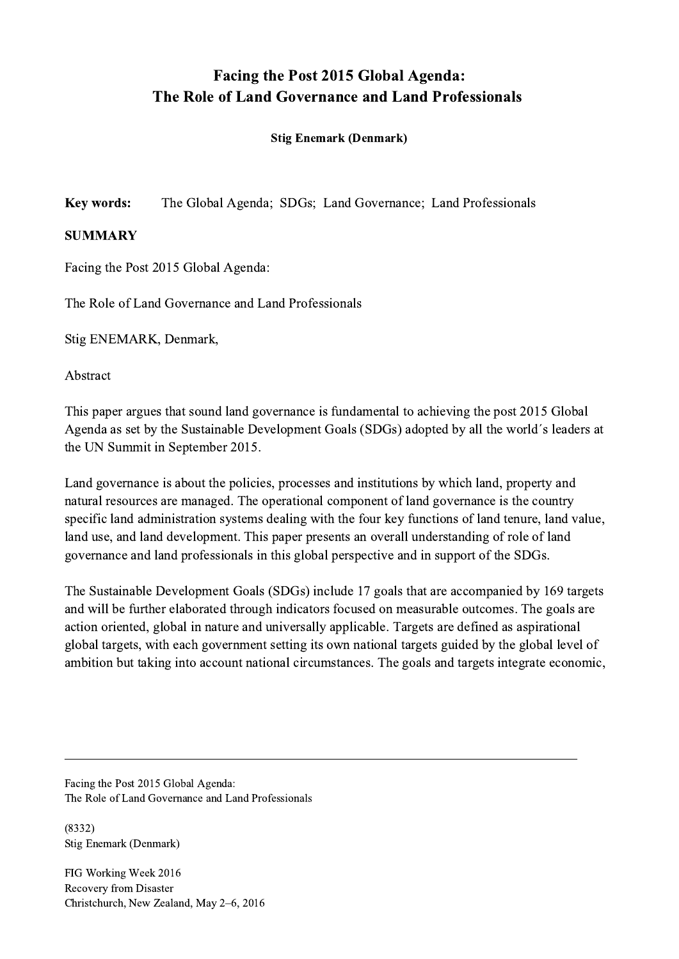## Facing the Post 2015 Global Agenda: The Role of Land Governance and Land Professionals

## Stig Enemark (Denmark)

Key words: The Global Agenda; SDGs; Land Governance; Land Professionals

## SUMMARY

Facing the Post 2015 Global Agenda:

The Role of Land Governance and Land Professionals

Stig ENEMARK, Denmark,

Abstract

This paper argues that sound land governance is fundamental to achieving the post 2015 Global Agenda as set by the Sustainable Development Goals (SDGs) adopted by all the world´s leaders at the UN Summit in September 2015.

Land governance is about the policies, processes and institutions by which land, property and natural resources are managed. The operational component of land governance is the country specific land administration systems dealing with the four key functions of land tenure, land value, land use, and land development. This paper presents an overall understanding of role of land governance and land professionals in this global perspective and in support of the SDGs.

The Sustainable Development Goals (SDGs) include 17 goals that are accompanied by 169 targets and will be further elaborated through indicators focused on measurable outcomes. The goals are action oriented, global in nature and universally applicable. Targets are defined as aspirational global targets, with each government setting its own national targets guided by the global level of ambition but taking into account national circumstances. The goals and targets integrate economic,

 $\mathcal{L}_\mathcal{L} = \{ \mathcal{L}_\mathcal{L} = \{ \mathcal{L}_\mathcal{L} = \{ \mathcal{L}_\mathcal{L} = \{ \mathcal{L}_\mathcal{L} = \{ \mathcal{L}_\mathcal{L} = \{ \mathcal{L}_\mathcal{L} = \{ \mathcal{L}_\mathcal{L} = \{ \mathcal{L}_\mathcal{L} = \{ \mathcal{L}_\mathcal{L} = \{ \mathcal{L}_\mathcal{L} = \{ \mathcal{L}_\mathcal{L} = \{ \mathcal{L}_\mathcal{L} = \{ \mathcal{L}_\mathcal{L} = \{ \mathcal{L}_\mathcal{$ 

Facing the Post 2015 Global Agenda: The Role of Land Governance and Land Professionals

(8332) Stig Enemark (Denmark)

FIG Working Week 2016 Recovery from Disaster Christchurch, New Zealand, May 2–6, 2016